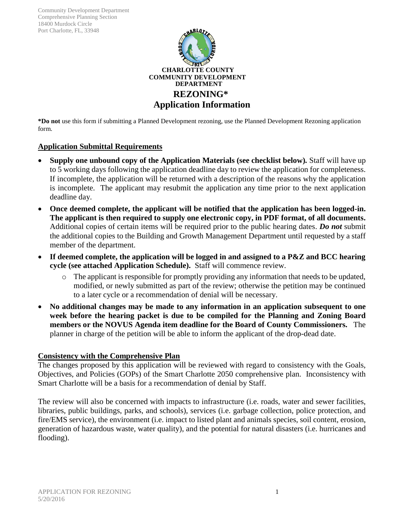Community Development Department Comprehensive Planning Section 18400 Murdock Circle Port Charlotte, FL, 33948



**\*Do not** use this form if submitting a Planned Development rezoning, use the Planned Development Rezoning application form.

### **Application Submittal Requirements**

- **Supply one unbound copy of the Application Materials (see checklist below)***.* Staff will have up to 5 working days following the application deadline day to review the application for completeness. If incomplete, the application will be returned with a description of the reasons why the application is incomplete. The applicant may resubmit the application any time prior to the next application deadline day.
- **Once deemed complete, the applicant will be notified that the application has been logged-in. The applicant is then required to supply one electronic copy, in PDF format, of all documents.** Additional copies of certain items will be required prior to the public hearing dates. *Do not* submit the additional copies to the Building and Growth Management Department until requested by a staff member of the department.
- **If deemed complete, the application will be logged in and assigned to a P&Z and BCC hearing cycle (see attached Application Schedule).** Staff will commence review.
	- $\circ$  The applicant is responsible for promptly providing any information that needs to be updated, modified, or newly submitted as part of the review; otherwise the petition may be continued to a later cycle or a recommendation of denial will be necessary.
- **No additional changes may be made to any information in an application subsequent to one week before the hearing packet is due to be compiled for the Planning and Zoning Board members or the NOVUS Agenda item deadline for the Board of County Commissioners.** The planner in charge of the petition will be able to inform the applicant of the drop-dead date.

#### **Consistency with the Comprehensive Plan**

The changes proposed by this application will be reviewed with regard to consistency with the Goals, Objectives, and Policies (GOPs) of the Smart Charlotte 2050 comprehensive plan. Inconsistency with Smart Charlotte will be a basis for a recommendation of denial by Staff.

The review will also be concerned with impacts to infrastructure (i.e. roads, water and sewer facilities, libraries, public buildings, parks, and schools), services (i.e. garbage collection, police protection, and fire/EMS service), the environment (i.e. impact to listed plant and animals species, soil content, erosion, generation of hazardous waste, water quality), and the potential for natural disasters (i.e. hurricanes and flooding).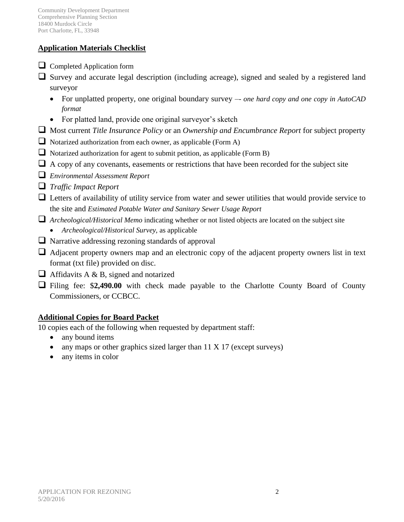## **Application Materials Checklist**

- $\Box$  Completed Application form
- $\Box$  Survey and accurate legal description (including acreage), signed and sealed by a registered land surveyor
	- For unplatted property, one original boundary survey –*- one hard copy and one copy in AutoCAD format*
	- For platted land, provide one original surveyor's sketch
- Most current *Title Insurance Policy* or an *Ownership and Encumbrance Report* for subject property
- $\Box$  Notarized authorization from each owner, as applicable (Form A)
- $\Box$  Notarized authorization for agent to submit petition, as applicable (Form B)
- $\Box$  A copy of any covenants, easements or restrictions that have been recorded for the subject site
- *Environmental Assessment Report*
- *Traffic Impact Report*
- Letters of availability of utility service from water and sewer utilities that would provide service to the site and *Estimated Potable Water and Sanitary Sewer Usage Report*
- *Archeological/Historical Memo* indicating whether or not listed objects are located on the subject site
	- *Archeological/Historical Survey,* as applicable
- $\Box$  Narrative addressing rezoning standards of approval
- $\Box$  Adjacent property owners map and an electronic copy of the adjacent property owners list in text format (txt file) provided on disc.
- $\Box$  Affidavits A & B, signed and notarized
- Filing fee: \$**2,490.00** with check made payable to the Charlotte County Board of County Commissioners, or CCBCC.

## **Additional Copies for Board Packet**

10 copies each of the following when requested by department staff:

- any bound items
- any maps or other graphics sized larger than 11 X 17 (except surveys)
- any items in color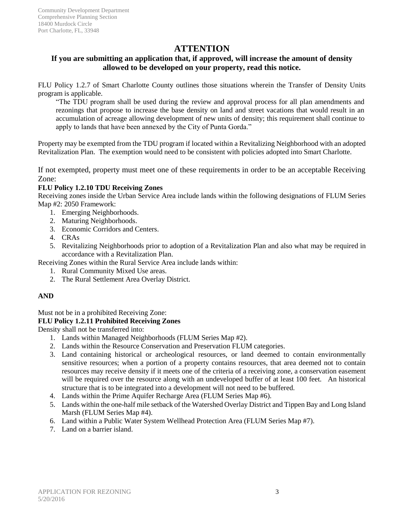## **ATTENTION**

### **If you are submitting an application that, if approved, will increase the amount of density allowed to be developed on your property, read this notice.**

FLU Policy 1.2.7 of Smart Charlotte County outlines those situations wherein the Transfer of Density Units program is applicable.

"The TDU program shall be used during the review and approval process for all plan amendments and rezonings that propose to increase the base density on land and street vacations that would result in an accumulation of acreage allowing development of new units of density; this requirement shall continue to apply to lands that have been annexed by the City of Punta Gorda."

Property may be exempted from the TDU program if located within a Revitalizing Neighborhood with an adopted Revitalization Plan. The exemption would need to be consistent with policies adopted into Smart Charlotte.

If not exempted, property must meet one of these requirements in order to be an acceptable Receiving Zone:

#### **FLU Policy 1.2.10 TDU Receiving Zones**

Receiving zones inside the Urban Service Area include lands within the following designations of FLUM Series Map #2: 2050 Framework:

- 1. Emerging Neighborhoods.
- 2. Maturing Neighborhoods.
- 3. Economic Corridors and Centers.
- 4. CRAs
- 5. Revitalizing Neighborhoods prior to adoption of a Revitalization Plan and also what may be required in accordance with a Revitalization Plan.

Receiving Zones within the Rural Service Area include lands within:

- 1. Rural Community Mixed Use areas.
- 2. The Rural Settlement Area Overlay District.

#### **AND**

Must not be in a prohibited Receiving Zone:

#### **FLU Policy 1.2.11 Prohibited Receiving Zones**

Density shall not be transferred into:

- 1. Lands within Managed Neighborhoods (FLUM Series Map #2).
- 2. Lands within the Resource Conservation and Preservation FLUM categories.
- 3. Land containing historical or archeological resources, or land deemed to contain environmentally sensitive resources; when a portion of a property contains resources, that area deemed not to contain resources may receive density if it meets one of the criteria of a receiving zone, a conservation easement will be required over the resource along with an undeveloped buffer of at least 100 feet. An historical structure that is to be integrated into a development will not need to be buffered.
- 4. Lands within the Prime Aquifer Recharge Area (FLUM Series Map #6).
- 5. Lands within the one-half mile setback of the Watershed Overlay District and Tippen Bay and Long Island Marsh (FLUM Series Map #4).
- 6. Land within a Public Water System Wellhead Protection Area (FLUM Series Map #7).
- 7. Land on a barrier island.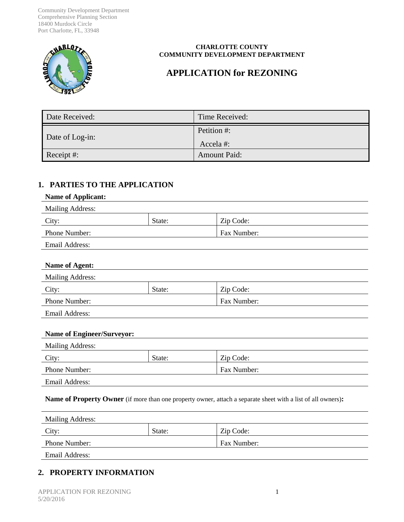Community Development Department Comprehensive Planning Section 18400 Murdock Circle Port Charlotte, FL, 33948



#### **CHARLOTTE COUNTY COMMUNITY DEVELOPMENT DEPARTMENT**

# **APPLICATION for REZONING**

| Date Received:  | Time Received:          |
|-----------------|-------------------------|
| Date of Log-in: | Petition #:<br>Accela#: |
| Receipt #:      | <b>Amount Paid:</b>     |

## **1. PARTIES TO THE APPLICATION**

#### **Name of Applicant:**

| <b>Mailing Address:</b> |        |             |
|-------------------------|--------|-------------|
| City:                   | State: | Zip Code:   |
| <b>Phone Number:</b>    |        | Fax Number: |
| Email Address:          |        |             |

#### **Name of Agent:**

| <b>Mailing Address:</b> |        |                    |  |
|-------------------------|--------|--------------------|--|
| City:                   | State: | Zip Code:          |  |
| <b>Phone Number:</b>    |        | <b>Fax Number:</b> |  |
| Email Address:          |        |                    |  |

#### **Name of Engineer/Surveyor:**

| <b>Mailing Address:</b> |        |             |  |
|-------------------------|--------|-------------|--|
| City:                   | State: | Zip Code:   |  |
| <b>Phone Number:</b>    |        | Fax Number: |  |
| Email Address:          |        |             |  |

#### **Name of Property Owner** (if more than one property owner, attach a separate sheet with a list of all owners)**:**

| <b>Mailing Address:</b> |        |             |
|-------------------------|--------|-------------|
| City:                   | State: | Zip Code:   |
| <b>Phone Number:</b>    |        | Fax Number: |
| Email Address:          |        |             |

## **2. PROPERTY INFORMATION**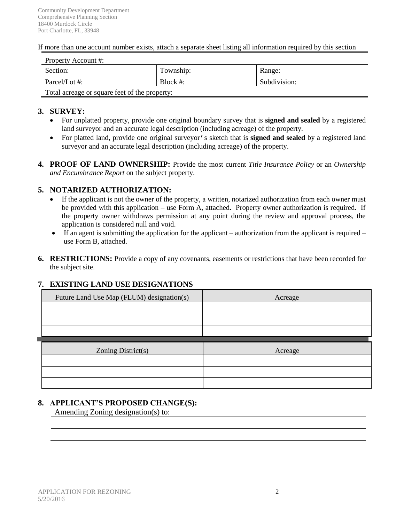If more than one account number exists, attach a separate sheet listing all information required by this section

| Property Account #:                           |             |              |
|-----------------------------------------------|-------------|--------------|
| Section:                                      | Township:   | Range:       |
| Parcel/Lot #:                                 | Block $#$ : | Subdivision: |
| Total acreage or square feet of the property: |             |              |

#### **3. SURVEY:**

- For unplatted property, provide one original boundary survey that is **signed and sealed** by a registered land surveyor and an accurate legal description (including acreage) of the property.
- For platted land, provide one original surveyor's sketch that is **signed and sealed** by a registered land surveyor and an accurate legal description (including acreage) of the property.
- **4. PROOF OF LAND OWNERSHIP:** Provide the most current *Title Insurance Policy* or an *Ownership and Encumbrance Report* on the subject property.

#### **5. NOTARIZED AUTHORIZATION:**

- If the applicant is not the owner of the property, a written, notarized authorization from each owner must be provided with this application – use Form A, attached. Property owner authorization is required. If the property owner withdraws permission at any point during the review and approval process, the application is considered null and void.
- $\bullet$  If an agent is submitting the application for the applicant authorization from the applicant is required use Form B, attached.
- **6. RESTRICTIONS:** Provide a copy of any covenants, easements or restrictions that have been recorded for the subject site.

#### **7. EXISTING LAND USE DESIGNATIONS**

| Future Land Use Map (FLUM) designation(s) | Acreage |
|-------------------------------------------|---------|
|                                           |         |
|                                           |         |
|                                           |         |
|                                           |         |
|                                           |         |
| Zoning District(s)                        | Acreage |
|                                           |         |
|                                           |         |

#### **8. APPLICANT'S PROPOSED CHANGE(S):**

Amending Zoning designation(s) to: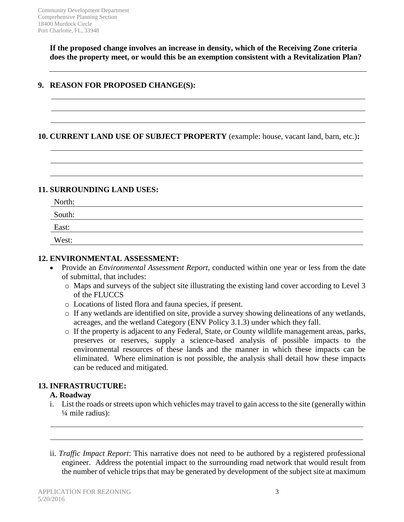**If the proposed change involves an increase in density, which of the Receiving Zone criteria does the property meet, or would this be an exemption consistent with a Revitalization Plan?**

### **9. REASON FOR PROPOSED CHANGE(S):**

## **10. CURRENT LAND USE OF SUBJECT PROPERTY** (example: house, vacant land, barn, etc.)**:**

#### **11. SURROUNDING LAND USES:**

| North:         |  |
|----------------|--|
| South:         |  |
| East:<br>_____ |  |
| West:          |  |

### **12. ENVIRONMENTAL ASSESSMENT:**

- Provide an *Environmental Assessment Report,* conducted within one year or less from the date of submittal, that includes:
	- o Maps and surveys of the subject site illustrating the existing land cover according to Level 3 of the FLUCCS
	- o Locations of listed flora and fauna species, if present.
	- o If any wetlands are identified on site, provide a survey showing delineations of any wetlands, acreages, and the wetland Category (ENV Policy 3.1.3) under which they fall.
	- o If the property is adjacent to any Federal, State, or County wildlife management areas, parks, preserves or reserves, supply a science-based analysis of possible impacts to the environmental resources of these lands and the manner in which these impacts can be eliminated. Where elimination is not possible, the analysis shall detail how these impacts can be reduced and mitigated.

### **13. INFRASTRUCTURE:**

### **A. Roadway**

- i. List the roads or streets upon which vehicles may travel to gain access to the site (generally within ¼ mile radius):
- ii. *Traffic Impact Report*: This narrative does not need to be authored by a registered professional engineer. Address the potential impact to the surrounding road network that would result from the number of vehicle trips that may be generated by development of the subject site at maximum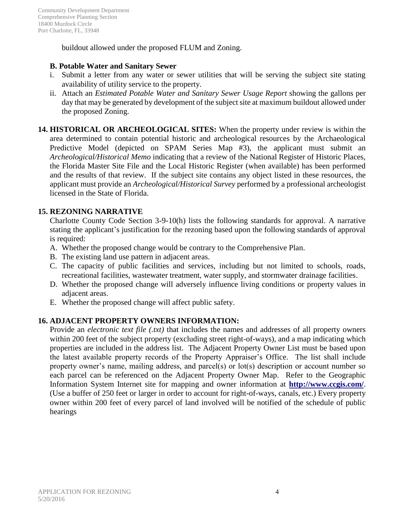buildout allowed under the proposed FLUM and Zoning.

### **B. Potable Water and Sanitary Sewer**

- i. Submit a letter from any water or sewer utilities that will be serving the subject site stating availability of utility service to the property.
- ii. Attach an *Estimated Potable Water and Sanitary Sewer Usage Report* showing the gallons per day that may be generated by development of the subject site at maximum buildout allowed under the proposed Zoning.
- **14. HISTORICAL OR ARCHEOLOGICAL SITES:** When the property under review is within the area determined to contain potential historic and archeological resources by the Archaeological Predictive Model (depicted on SPAM Series Map #3), the applicant must submit an *Archeological/Historical Memo* indicating that a review of the National Register of Historic Places, the Florida Master Site File and the Local Historic Register (when available) has been performed and the results of that review. If the subject site contains any object listed in these resources, the applicant must provide an *Archeological/Historical Survey* performed by a professional archeologist licensed in the State of Florida.

## **15. REZONING NARRATIVE**

Charlotte County Code Section 3-9-10(h) lists the following standards for approval. A narrative stating the applicant's justification for the rezoning based upon the following standards of approval is required:

- A. Whether the proposed change would be contrary to the Comprehensive Plan.
- B. The existing land use pattern in adjacent areas.
- C. The capacity of public facilities and services, including but not limited to schools, roads, recreational facilities, wastewater treatment, water supply, and stormwater drainage facilities.
- D. Whether the proposed change will adversely influence living conditions or property values in adjacent areas.
- E. Whether the proposed change will affect public safety.

## **16. ADJACENT PROPERTY OWNERS INFORMATION:**

Provide an *electronic text file (.txt)* that includes the names and addresses of all property owners within 200 feet of the subject property (excluding street right-of-ways), and a map indicating which properties are included in the address list. The Adjacent Property Owner List must be based upon the latest available property records of the Property Appraiser's Office. The list shall include property owner's name, mailing address, and parcel(s) or lot(s) description or account number so each parcel can be referenced on the Adjacent Property Owner Map. Refer to the Geographic Information System Internet site for mapping and owner information at **http://www.ccgis.com/**. (Use a buffer of 250 feet or larger in order to account for right-of-ways, canals, etc.) Every property owner within 200 feet of every parcel of land involved will be notified of the schedule of public hearings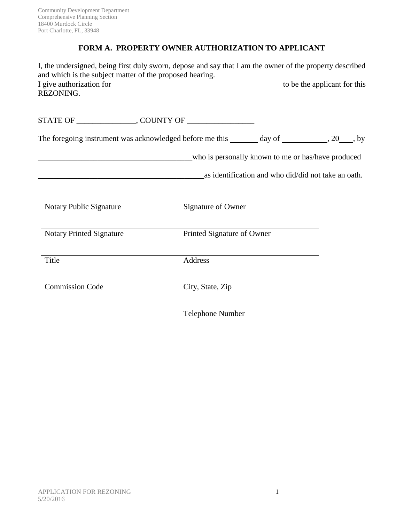## **FORM A. PROPERTY OWNER AUTHORIZATION TO APPLICANT**

| I, the undersigned, being first duly sworn, depose and say that I am the owner of the property described<br>and which is the subject matter of the proposed hearing.<br>REZONING. |                            |                                                     |  |
|-----------------------------------------------------------------------------------------------------------------------------------------------------------------------------------|----------------------------|-----------------------------------------------------|--|
|                                                                                                                                                                                   |                            |                                                     |  |
|                                                                                                                                                                                   |                            |                                                     |  |
| The foregoing instrument was acknowledged before me this _______ day of __________, 20___, by                                                                                     |                            |                                                     |  |
|                                                                                                                                                                                   |                            | who is personally known to me or has/have produced  |  |
|                                                                                                                                                                                   |                            | as identification and who did/did not take an oath. |  |
|                                                                                                                                                                                   |                            |                                                     |  |
| Notary Public Signature                                                                                                                                                           | Signature of Owner         |                                                     |  |
|                                                                                                                                                                                   |                            |                                                     |  |
| <b>Notary Printed Signature</b>                                                                                                                                                   | Printed Signature of Owner |                                                     |  |
| Title                                                                                                                                                                             | Address                    |                                                     |  |
|                                                                                                                                                                                   |                            |                                                     |  |
| <b>Commission Code</b>                                                                                                                                                            | City, State, Zip           |                                                     |  |
|                                                                                                                                                                                   | <b>Telephone Number</b>    |                                                     |  |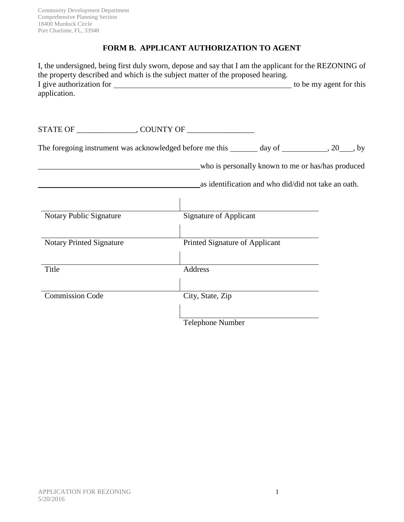## **FORM B. APPLICANT AUTHORIZATION TO AGENT**

| I, the undersigned, being first duly sworn, depose and say that I am the applicant for the REZONING of<br>the property described and which is the subject matter of the proposed hearing. |                                                   |                                                     |  |
|-------------------------------------------------------------------------------------------------------------------------------------------------------------------------------------------|---------------------------------------------------|-----------------------------------------------------|--|
| application.                                                                                                                                                                              |                                                   |                                                     |  |
|                                                                                                                                                                                           |                                                   |                                                     |  |
| The foregoing instrument was acknowledged before me this _______ day of __________, 20___, by                                                                                             |                                                   |                                                     |  |
|                                                                                                                                                                                           | who is personally known to me or has/has produced |                                                     |  |
|                                                                                                                                                                                           |                                                   | as identification and who did/did not take an oath. |  |
|                                                                                                                                                                                           |                                                   |                                                     |  |
| Notary Public Signature                                                                                                                                                                   | <b>Signature of Applicant</b>                     |                                                     |  |
| <b>Notary Printed Signature</b>                                                                                                                                                           | Printed Signature of Applicant                    |                                                     |  |
| Title                                                                                                                                                                                     | Address                                           |                                                     |  |
| <b>Commission Code</b>                                                                                                                                                                    | City, State, Zip                                  |                                                     |  |
|                                                                                                                                                                                           | Telephone Number                                  |                                                     |  |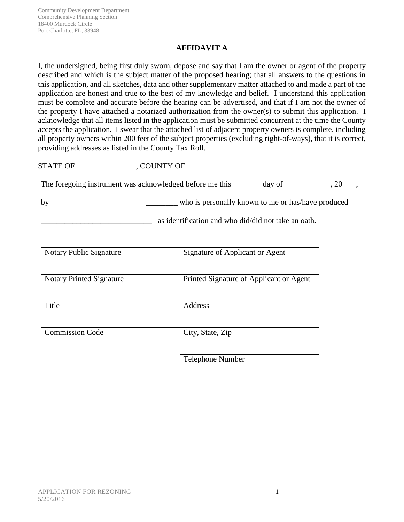### **AFFIDAVIT A**

I, the undersigned, being first duly sworn, depose and say that I am the owner or agent of the property described and which is the subject matter of the proposed hearing; that all answers to the questions in this application, and all sketches, data and other supplementary matter attached to and made a part of the application are honest and true to the best of my knowledge and belief. I understand this application must be complete and accurate before the hearing can be advertised, and that if I am not the owner of the property I have attached a notarized authorization from the owner(s) to submit this application. I acknowledge that all items listed in the application must be submitted concurrent at the time the County accepts the application. I swear that the attached list of adjacent property owners is complete, including all property owners within 200 feet of the subject properties (excluding right-of-ways), that it is correct, providing addresses as listed in the County Tax Roll.

STATE OF GUNTY OF The foregoing instrument was acknowledged before me this  $\qquad \qquad$  day of  $\qquad \qquad$ , 20 , by \_\_\_\_\_\_\_\_ who is personally known to me or has/have produced \_\_\_\_\_\_\_\_\_\_\_\_\_\_\_\_\_\_\_\_\_\_\_\_\_\_\_\_ as identification and who did/did not take an oath. Notary Public Signature Signature Signature of Applicant or Agent Notary Printed Signature Printed Signature of Applicant or Agent Title Address Commission Code City, State, Zip Telephone Number